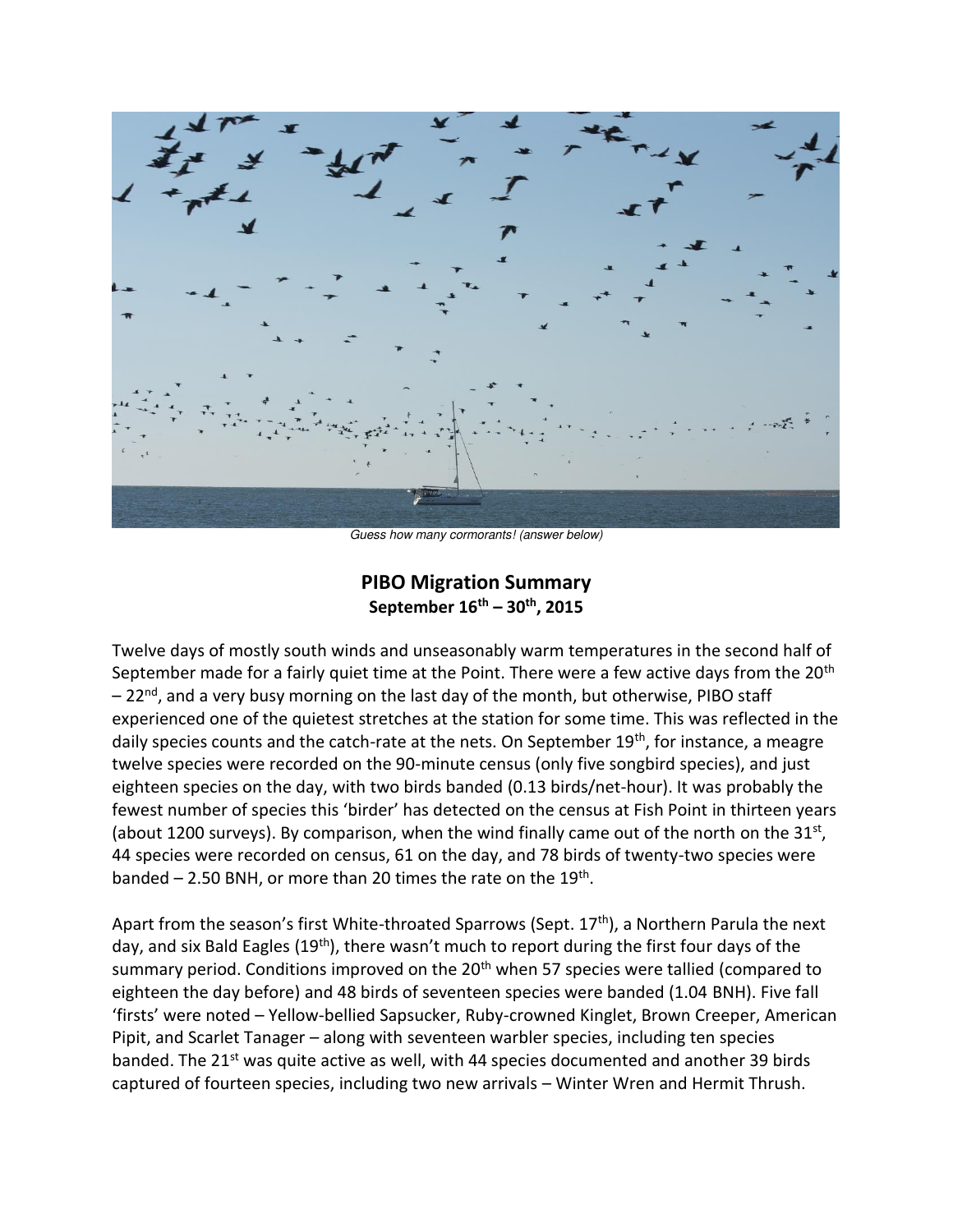

*Guess how many cormorants! (answer below)* 

## **PIBO Migration Summary September 16th – 30th, 2015**

Twelve days of mostly south winds and unseasonably warm temperatures in the second half of September made for a fairly quiet time at the Point. There were a few active days from the 20<sup>th</sup>  $-22<sup>nd</sup>$ , and a very busy morning on the last day of the month, but otherwise, PIBO staff experienced one of the quietest stretches at the station for some time. This was reflected in the daily species counts and the catch-rate at the nets. On September 19<sup>th</sup>, for instance, a meagre twelve species were recorded on the 90-minute census (only five songbird species), and just eighteen species on the day, with two birds banded (0.13 birds/net-hour). It was probably the fewest number of species this 'birder' has detected on the census at Fish Point in thirteen years (about 1200 surveys). By comparison, when the wind finally came out of the north on the  $31<sup>st</sup>$ , 44 species were recorded on census, 61 on the day, and 78 birds of twenty-two species were banded  $-$  2.50 BNH, or more than 20 times the rate on the  $19<sup>th</sup>$ .

Apart from the season's first White-throated Sparrows (Sept. 17<sup>th</sup>), a Northern Parula the next day, and six Bald Eagles (19<sup>th</sup>), there wasn't much to report during the first four days of the summary period. Conditions improved on the 20<sup>th</sup> when 57 species were tallied (compared to eighteen the day before) and 48 birds of seventeen species were banded (1.04 BNH). Five fall 'firsts' were noted – Yellow-bellied Sapsucker, Ruby-crowned Kinglet, Brown Creeper, American Pipit, and Scarlet Tanager – along with seventeen warbler species, including ten species banded. The 21<sup>st</sup> was quite active as well, with 44 species documented and another 39 birds captured of fourteen species, including two new arrivals – Winter Wren and Hermit Thrush.